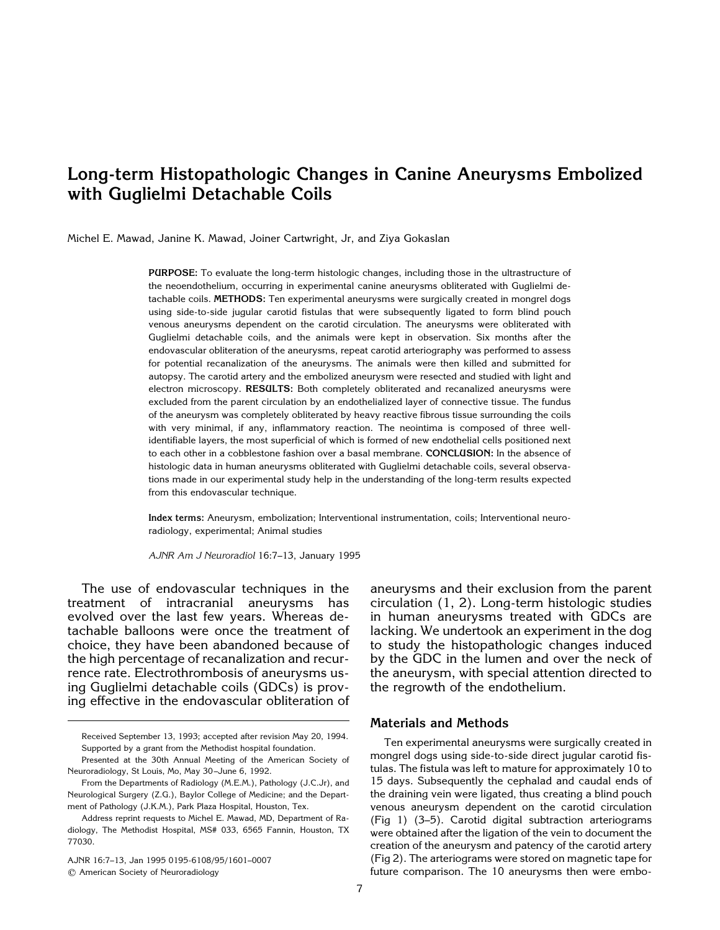# **Long-term Histopathologic Changes in Canine Aneurysms Embolized with Guglielmi Detachable Coils**

Michel E. Mawad, Janine K. Mawad, Joiner Cartwright, Jr, and Ziya Gokaslan

**PURPOSE:** To evaluate the long-term histologic changes, including those in the ultrastructure of the neoendothelium, occurring in experimental canine aneurysms obliterated with Guglielmi detachable coils. **METHODS:** Ten experimental aneurysms were surgically created in mongrel dogs using side-to-side jugular carotid fistulas that were subsequently ligated to form blind pouch venous aneurysms dependent on the carotid circulation. The aneurysms were obliterated with Guglielmi detachable coils, and the animals were kept in observation. Six months after the endovascular obliteration of the aneurysms, repeat carotid arteriography was performed to assess for potential recanalization of the aneurysms. The animals were then killed and submitted for autopsy. The carotid artery and the embolized aneurysm were resected and studied with light and electron microscopy. **RESULTS:** Both completely obliterated and recanalized aneurysms were excluded from the parent circulation by an endothelialized layer of connective tissue. The fundus of the aneurysm was completely obliterated by heavy reactive fibrous tissue surrounding the coils with very minimal, if any, inflammatory reaction. The neointima is composed of three wellidentifiable layers, the most superficial of which is formed of new endothelial cells positioned next to each other in a cobblestone fashion over a basal membrane. **CONCLUSION:** In the absence of histologic data in human aneurysms obliterated with Guglielmi detachable coils, several observations made in our experimental study help in the understanding of the long-term results expected from this endovascular technique.

**Index terms:** Aneurysm, embolization; Interventional instrumentation, coils; Interventional neuroradiology, experimental; Animal studies

*AJNR Am J Neuroradiol* 16:7–13, January 1995

The use of endovascular techniques in the treatment of intracranial aneurysms has evolved over the last few years. Whereas detachable balloons were once the treatment of choice, they have been abandoned because of the high percentage of recanalization and recurrence rate. Electrothrombosis of aneurysms using Guglielmi detachable coils (GDCs) is proving effective in the endovascular obliteration of

Received September 13, 1993; accepted after revision May 20, 1994. Supported by a grant from the Methodist hospital foundation.

AJNR 16:7–13, Jan 1995 0195-6108/95/1601–0007 q American Society of Neuroradiology

aneurysms and their exclusion from the parent circulation (1, 2). Long-term histologic studies in human aneurysms treated with GDCs are lacking. We undertook an experiment in the dog to study the histopathologic changes induced by the GDC in the lumen and over the neck of the aneurysm, with special attention directed to the regrowth of the endothelium.

## **Materials and Methods**

Ten experimental aneurysms were surgically created in mongrel dogs using side-to-side direct jugular carotid fistulas. The fistula was left to mature for approximately 10 to 15 days. Subsequently the cephalad and caudal ends of the draining vein were ligated, thus creating a blind pouch venous aneurysm dependent on the carotid circulation (Fig 1) (3–5). Carotid digital subtraction arteriograms were obtained after the ligation of the vein to document the creation of the aneurysm and patency of the carotid artery (Fig 2). The arteriograms were stored on magnetic tape for future comparison. The 10 aneurysms then were embo-

Presented at the 30th Annual Meeting of the American Society of Neuroradiology, St Louis, Mo, May 30 –June 6, 1992.

From the Departments of Radiology (M.E.M.), Pathology (J.C.Jr), and Neurological Surgery (Z.G.), Baylor College of Medicine; and the Department of Pathology (J.K.M.), Park Plaza Hospital, Houston, Tex.

Address reprint requests to Michel E. Mawad, MD, Department of Radiology, The Methodist Hospital, MS# 033, 6565 Fannin, Houston, TX 77030.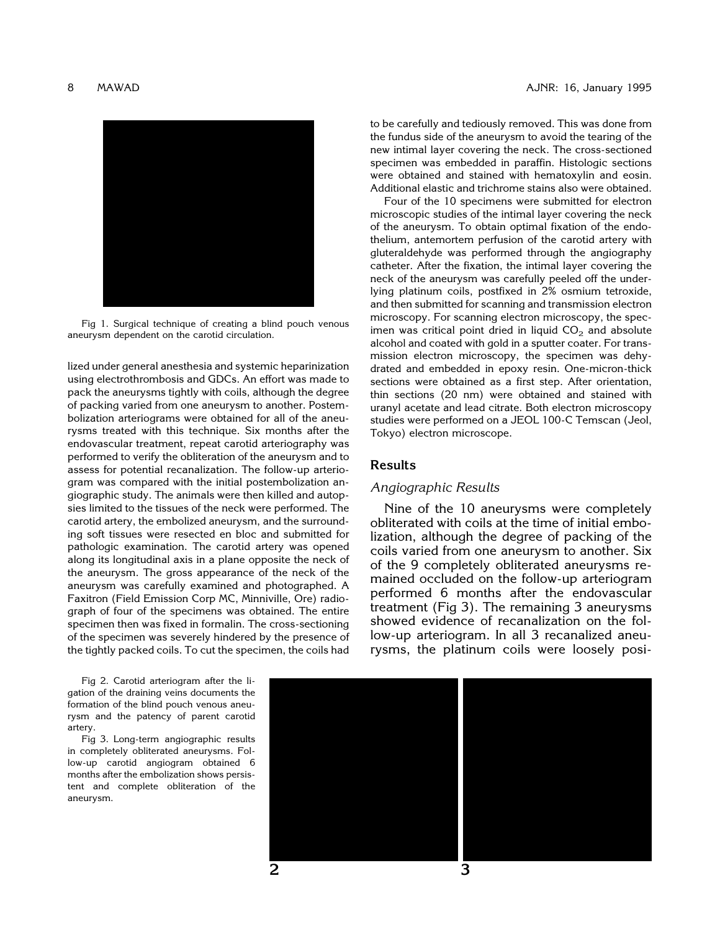



lized under general anesthesia and systemic heparinization using electrothrombosis and GDCs. An effort was made to pack the aneurysms tightly with coils, although the degree of packing varied from one aneurysm to another. Postembolization arteriograms were obtained for all of the aneurysms treated with this technique. Six months after the endovascular treatment, repeat carotid arteriography was performed to verify the obliteration of the aneurysm and to assess for potential recanalization. The follow-up arteriogram was compared with the initial postembolization angiographic study. The animals were then killed and autopsies limited to the tissues of the neck were performed. The carotid artery, the embolized aneurysm, and the surrounding soft tissues were resected en bloc and submitted for pathologic examination. The carotid artery was opened along its longitudinal axis in a plane opposite the neck of the aneurysm. The gross appearance of the neck of the aneurysm was carefully examined and photographed. A Faxitron (Field Emission Corp MC, Minniville, Ore) radiograph of four of the specimens was obtained. The entire specimen then was fixed in formalin. The cross-sectioning of the specimen was severely hindered by the presence of the tightly packed coils. To cut the specimen, the coils had

Fig 2. Carotid arteriogram after the ligation of the draining veins documents the [formation of the blind pouch venous aneu](#page-8-0)rysm and the patency of parent carotid artery.

Fig 3. Long-term angiographic results in completely obliterated aneurysms. Follow-up carotid angiogram obtained 6 [months after the embolization shows persis](#page-9-0)tent and complete obliteration of the aneurysm.

to be carefully and tediously removed. This was done from the fundus side of the aneurysm to avoid the tearing of the new intimal layer covering the neck. The cross-sectioned specimen was embedded in paraffin. Histologic sections were obtained and stained with hematoxylin and eosin. Additional elastic and trichrome stains also were obtained.

Four of the 10 specimens were submitted for electron microscopic studies of the intimal layer covering the neck of the aneurysm. To obtain optimal fixation of the endothelium, antemortem perfusion of the carotid artery with gluteraldehyde was performed through the angiography catheter. After the fixation, the intimal layer covering the neck of the aneurysm was carefully peeled off the underlying platinum coils, postfixed in 2% osmium tetroxide, and then submitted for scanning and transmission electron microscopy. For scanning electron microscopy, the specimen was critical point dried in liquid  $CO<sub>2</sub>$  and absolute alcohol and coated with gold in a sputter coater. For transmission electron microscopy, the specimen was dehydrated and embedded in epoxy resin. One-micron-thick sections were obtained as a first step. After orientation, thin sections (20 nm) were obtained and stained with uranyl acetate and lead citrate. Both electron microscopy studies were performed on a JEOL 100-C Temscan (Jeol, Tokyo) electron microscope.

#### **Results**

## *Angiographic Results*

Nine of the 10 aneurysms were completely obliterated with coils at the time of initial embolization, although the degree of packing of the coils varied from one aneurysm to another. Six of the 9 completely obliterated aneurysms remained occluded on the follow-up arteriogram performed 6 months after the endovascular treatment (Fig 3). The remaining 3 aneurysms showed evidence of recanalization on the follow-up arteriogram. In all 3 recanalized aneurysms, the platinum coils were loosely posi-

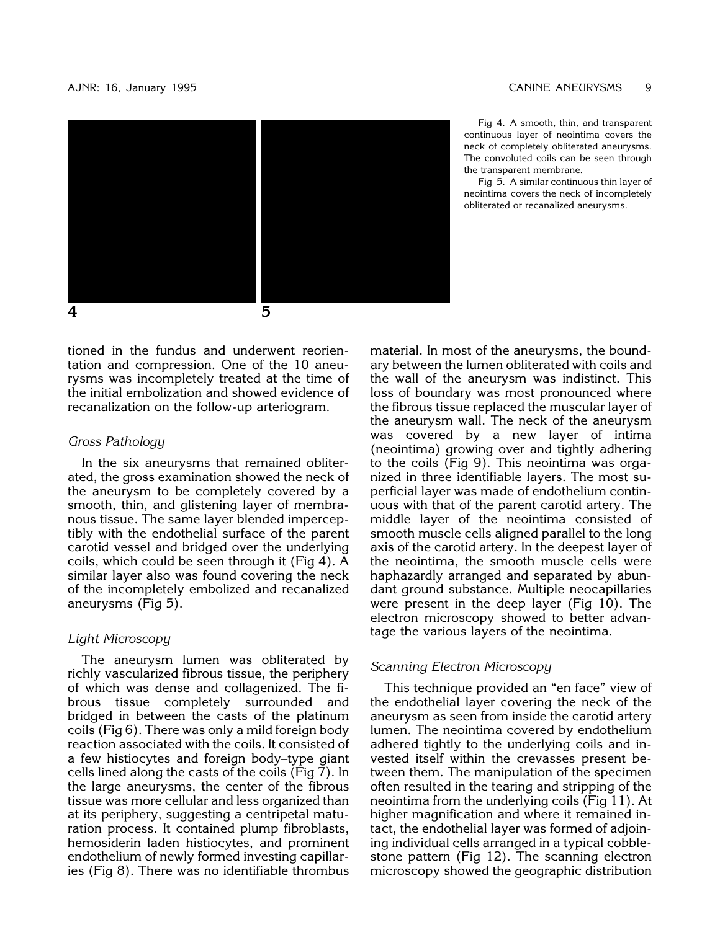

tioned in the fundus and underwent reorientation and compression. One of the 10 aneurysms was incompletely treated at the time of the initial embolization and showed evidence of recanalization on the follow-up arteriogram.

#### *Gross Pathology*

In the six aneurysms that remained obliterated, the gross examination showed the neck of the aneurysm to be completely covered by a smooth, thin, and glistening layer of membranous tissue. The same layer blended imperceptibly with the endothelial surface of the parent carotid vessel and bridged over the underlying coils, which could be seen through it (Fig 4). A similar layer also was found covering the neck of the incompletely embolized and recanalized aneurysms (Fig 5).

## *Light Microscopy*

The aneurysm lumen was obliterated by richly vascularized fibrous tissue, the periphery of which was dense and collagenized. The fibrous tissue completely surrounded and bridged in between the casts of the platinum coils (Fig 6). There was only a mild foreign body reaction associated with the coils. It consisted of a few histiocytes and foreign body–type giant cells lined along the casts of the coils (Fig 7). In the large aneurysms, the center of the fibrous tissue was more cellular and less organized than at its periphery, suggesting a centripetal maturation process. It contained plump fibroblasts, hemosiderin laden histiocytes, and prominent endothelium of newly formed investing capillaries (Fig 8). There was no identifiable thrombus

Fig 4. A smooth, thin, and transparent [continuous layer of neointima covers the](#page-10-0) neck of completely obliterated aneurysms. The convoluted coils can be seen through the transparent membrane.

Fig 5. A similar continuous thin layer of [neointima covers the neck of incompletely](#page-11-0) obliterated or recanalized aneurysms.

material. In most of the aneurysms, the boundary between the lumen obliterated with coils and the wall of the aneurysm was indistinct. This loss of boundary was most pronounced where the fibrous tissue replaced the muscular layer of the aneurysm wall. The neck of the aneurysm was covered by a new layer of intima (neointima) growing over and tightly adhering to the coils (Fig 9). This neointima was organized in three identifiable layers. The most superficial layer was made of endothelium continuous with that of the parent carotid artery. The middle layer of the neointima consisted of smooth muscle cells aligned parallel to the long axis of the carotid artery. In the deepest layer of the neointima, the smooth muscle cells were haphazardly arranged and separated by abundant ground substance. Multiple neocapillaries were present in the deep layer (Fig 10). The electron microscopy showed to better advantage the various layers of the neointima.

#### *Scanning Electron Microscopy*

This technique provided an "en face" view of the endothelial layer covering the neck of the aneurysm as seen from inside the carotid artery lumen. The neointima covered by endothelium adhered tightly to the underlying coils and invested itself within the crevasses present between them. The manipulation of the specimen often resulted in the tearing and stripping of the neointima from the underlying coils (Fig 11). At higher magnification and where it remained intact, the endothelial layer was formed of adjoining individual cells arranged in a typical cobblestone pattern (Fig 12). The scanning electron microscopy showed the geographic distribution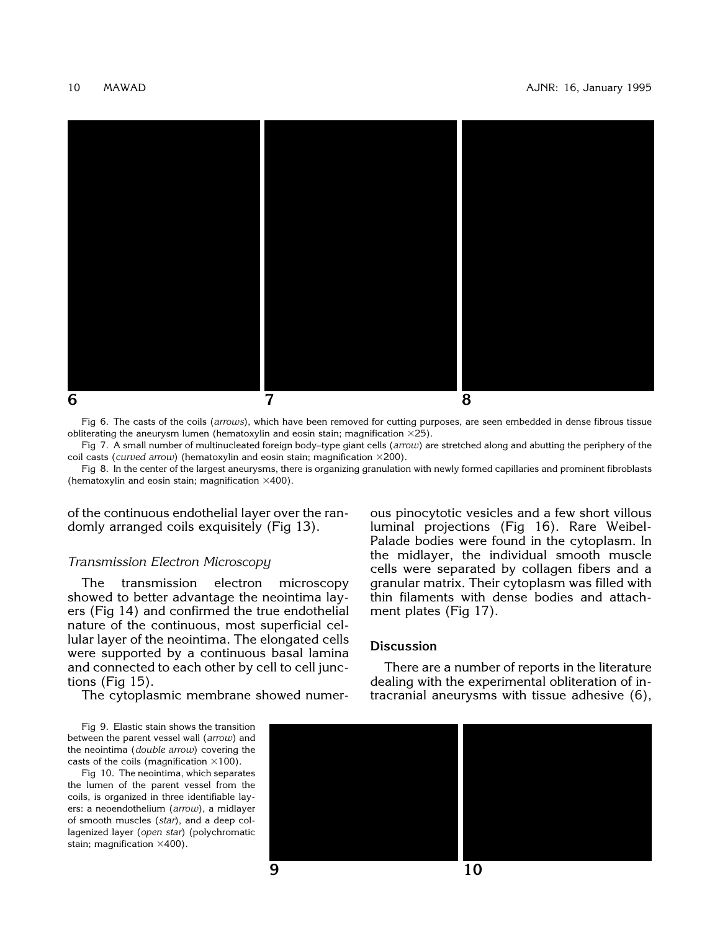

Fig 6. The casts of the coils (*arrows*[\), which have been removed for cutting purposes, are seen embedded in dense fibrous tissue](#page-12-0) obliterating the aneurysm lumen (hematoxylin and eosin stain; magnification  $\times 25$ ).

[Fig 7. A small number of multinucleated foreign body–type giant cells \(](#page-13-0)*arrow*) are stretched along and abutting the periphery of the coil casts (*curved arrow*) (hematoxylin and eosin stain; magnification ×200).

[Fig 8. In the center of the largest aneurysms, there is organizing granulation with newly formed capillaries and prominent fibroblasts](#page-14-0) (hematoxylin and eosin stain; magnification  $\times$ 400).

of the continuous endothelial layer over the randomly arranged coils exquisitely (Fig 13).

## *Transmission Electron Microscopy*

The transmission electron microscopy showed to better advantage the neointima layers (Fig 14) and confirmed the true endothelial nature of the continuous, most superficial cellular layer of the neointima. The elongated cells were supported by a continuous basal lamina and connected to each other by cell to cell junctions (Fig 15).

The cytoplasmic membrane showed numer-

[Fig 9. Elastic stain shows the transition](#page-15-0) between the parent vessel wall (*arrow*) and the neointima (*double arrow*) covering the casts of the coils (magnification  $\times 100$ ).

Fig 10. The neointima, which separates the lumen of the parent vessel from the [coils, is organized in three identifiable lay](#page-16-0)ers: a neoendothelium (*arrow*), a midlayer of smooth muscles (*star*), and a deep collagenized layer (*open star*) (polychromatic stain; magnification  $\times 400$ ).

ous pinocytotic vesicles and a few short villous luminal projections (Fig 16). Rare Weibel-Palade bodies were found in the cytoplasm. In the midlayer, the individual smooth muscle cells were separated by collagen fibers and a granular matrix. Their cytoplasm was filled with thin filaments with dense bodies and attachment plates (Fig 17).

## **Discussion**

There are a number of reports in the literature dealing with the experimental obliteration of intracranial aneurysms with tissue adhesive (6),

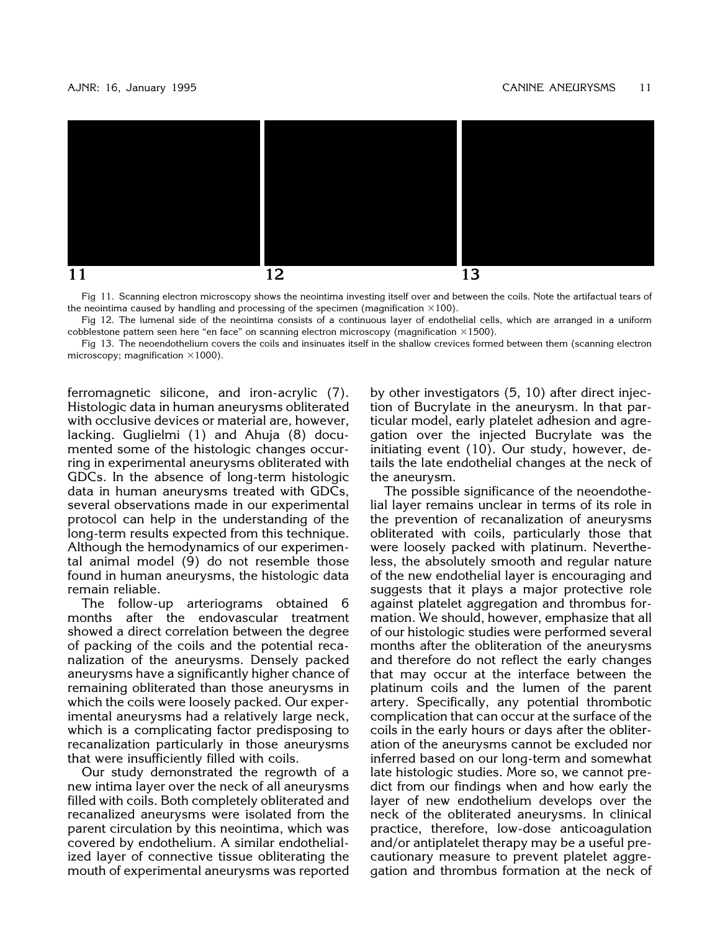

[Fig 11. Scanning electron microscopy shows the neointima investing itself over and between the coils. Note the artifactual tears of](#page-17-0) the neointima caused by handling and processing of the specimen (magnification  $\times 100$ ).

[Fig 12. The lumenal side of the neointima consists of a continuous layer of endothelial cells, which are arranged in a uniform](#page-18-0) cobblestone pattern seen here "en face" on scanning electron microscopy (magnification  $\times$ 1500).

[Fig 13. The neoendothelium covers the coils and insinuates itself in the shallow crevices formed between them \(scanning electron](#page-19-0) microscopy; magnification  $\times 1000$ ).

ferromagnetic silicone, and iron-acrylic (7). Histologic data in human aneurysms obliterated with occlusive devices or material are, however, lacking. Guglielmi (1) and Ahuja (8) documented some of the histologic changes occurring in experimental aneurysms obliterated with GDCs. In the absence of long-term histologic data in human aneurysms treated with GDCs, several observations made in our experimental protocol can help in the understanding of the long-term results expected from this technique. Although the hemodynamics of our experimental animal model (9) do not resemble those found in human aneurysms, the histologic data remain reliable.

The follow-up arteriograms obtained 6 months after the endovascular treatment showed a direct correlation between the degree of packing of the coils and the potential recanalization of the aneurysms. Densely packed aneurysms have a significantly higher chance of remaining obliterated than those aneurysms in which the coils were loosely packed. Our experimental aneurysms had a relatively large neck, which is a complicating factor predisposing to recanalization particularly in those aneurysms that were insufficiently filled with coils.

Our study demonstrated the regrowth of a new intima layer over the neck of all aneurysms filled with coils. Both completely obliterated and recanalized aneurysms were isolated from the parent circulation by this neointima, which was covered by endothelium. A similar endothelialized layer of connective tissue obliterating the mouth of experimental aneurysms was reported by other investigators (5, 10) after direct injection of Bucrylate in the aneurysm. In that particular model, early platelet adhesion and agregation over the injected Bucrylate was the initiating event (10). Our study, however, details the late endothelial changes at the neck of the aneurysm.

The possible significance of the neoendothelial layer remains unclear in terms of its role in the prevention of recanalization of aneurysms obliterated with coils, particularly those that were loosely packed with platinum. Nevertheless, the absolutely smooth and regular nature of the new endothelial layer is encouraging and suggests that it plays a major protective role against platelet aggregation and thrombus formation. We should, however, emphasize that all of our histologic studies were performed several months after the obliteration of the aneurysms and therefore do not reflect the early changes that may occur at the interface between the platinum coils and the lumen of the parent artery. Specifically, any potential thrombotic complication that can occur at the surface of the coils in the early hours or days after the obliteration of the aneurysms cannot be excluded nor inferred based on our long-term and somewhat late histologic studies. More so, we cannot predict from our findings when and how early the layer of new endothelium develops over the neck of the obliterated aneurysms. In clinical practice, therefore, low-dose anticoagulation and/or antiplatelet therapy may be a useful precautionary measure to prevent platelet aggregation and thrombus formation at the neck of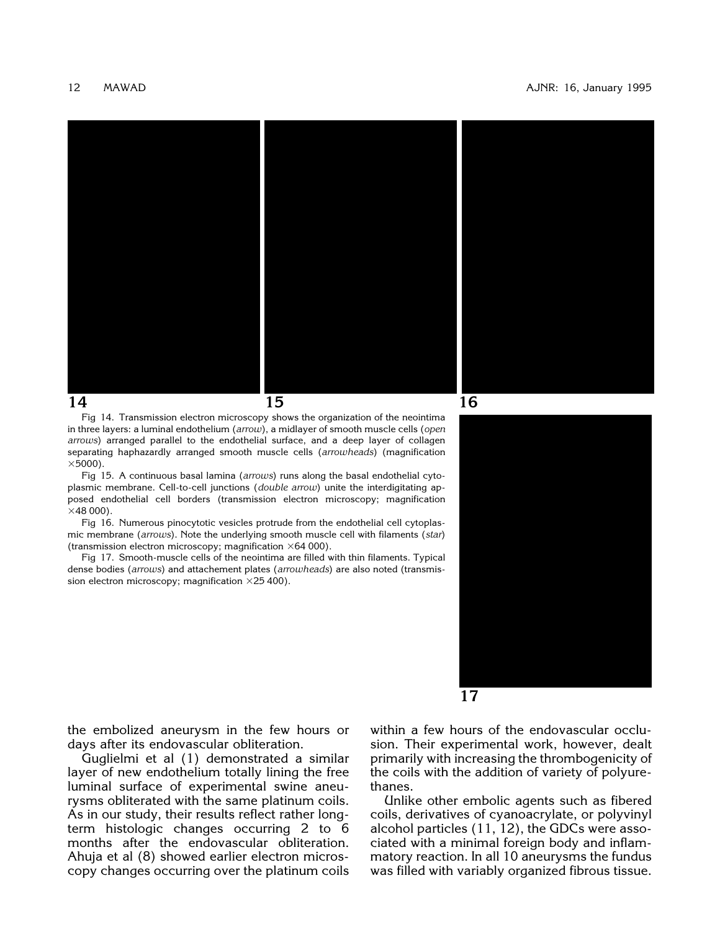#### 12 MAWAD AJNR: 16, January 1995



in three layers: a luminal endothelium (*arrow*), a midlayer of smooth muscle cells (*open arrows*) arranged parallel to the endothelial surface, and a deep layer of collagen separating haphazardly arranged smooth muscle cells (*arrowheads*) (magnification  $\times$ 5000).

Fig 15. A continuous basal lamina (*arrows*) runs along the basal endothelial cytoplasmic membrane. Cell-to-cell junctions (*double arrow*) unite the interdigitating ap[posed endothelial cell borders \(transmission electron microscopy; magnification](#page-21-0)  $\times$ 48 000).

[Fig 16. Numerous pinocytotic vesicles protrude from the endothelial cell cytoplas](#page-22-0)mic membrane (*arrows*). Note the underlying smooth muscle cell with filaments (*star*) (transmission electron microscopy; magnification  $\times 64$  000).

[Fig 17. Smooth-muscle cells of the neointima are filled with thin filaments. Typical](#page-23-0) dense bodies (*arrows*) and attachement plates (*arrowheads*) are also noted (transmission electron microscopy; magnification  $\times 25$  400).



the embolized aneurysm in the few hours or days after its endovascular obliteration.

Guglielmi et al (1) demonstrated a similar layer of new endothelium totally lining the free luminal surface of experimental swine aneurysms obliterated with the same platinum coils. As in our study, their results reflect rather longterm histologic changes occurring 2 to 6 months after the endovascular obliteration. Ahuja et al (8) showed earlier electron microscopy changes occurring over the platinum coils within a few hours of the endovascular occlusion. Their experimental work, however, dealt primarily with increasing the thrombogenicity of the coils with the addition of variety of polyurethanes.

Unlike other embolic agents such as fibered coils, derivatives of cyanoacrylate, or polyvinyl alcohol particles (11, 12), the GDCs were associated with a minimal foreign body and inflammatory reaction. In all 10 aneurysms the fundus was filled with variably organized fibrous tissue.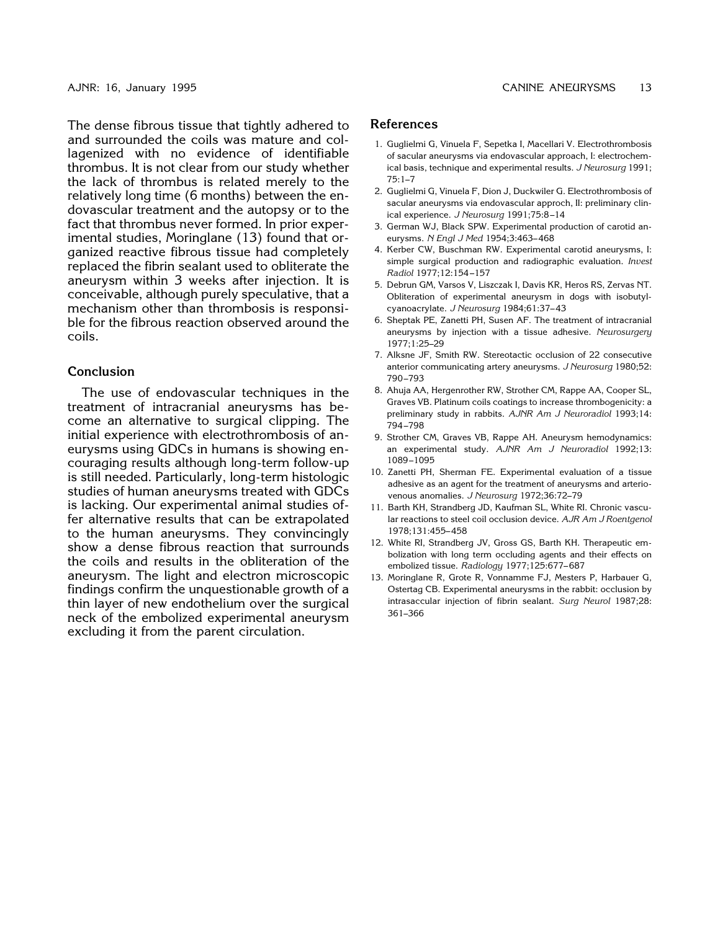The dense fibrous tissue that tightly adhered to and surrounded the coils was mature and collagenized with no evidence of identifiable thrombus. It is not clear from our study whether the lack of thrombus is related merely to the relatively long time (6 months) between the endovascular treatment and the autopsy or to the fact that thrombus never formed. In prior experimental studies, Moringlane (13) found that organized reactive fibrous tissue had completely replaced the fibrin sealant used to obliterate the aneurysm within 3 weeks after injection. It is conceivable, although purely speculative, that a mechanism other than thrombosis is responsible for the fibrous reaction observed around the coils.

#### **Conclusion**

The use of endovascular techniques in the treatment of intracranial aneurysms has become an alternative to surgical clipping. The initial experience with electrothrombosis of aneurysms using GDCs in humans is showing encouraging results although long-term follow-up is still needed. Particularly, long-term histologic studies of human aneurysms treated with GDCs is lacking. Our experimental animal studies offer alternative results that can be extrapolated to the human aneurysms. They convincingly show a dense fibrous reaction that surrounds the coils and results in the obliteration of the aneurysm. The light and electron microscopic findings confirm the unquestionable growth of a thin layer of new endothelium over the surgical neck of the embolized experimental aneurysm excluding it from the parent circulation.

#### **References**

- 1. Guglielmi G, Vinuela F, Sepetka I, Macellari V. Electrothrombosis of sacular aneurysms via endovascular approach, I: electrochemical basis, technique and experimental results. *J Neurosurg* 1991; 75:1–7
- 2. Guglielmi G, Vinuela F, Dion J, Duckwiler G. Electrothrombosis of sacular aneurysms via endovascular approch, II: preliminary clinical experience. *J Neurosurg* 1991;75:8 –14
- 3. German WJ, Black SPW. Experimental production of carotid aneurysms. *N Engl J Med* 1954;3:463– 468
- 4. Kerber CW, Buschman RW. Experimental carotid aneurysms, I: simple surgical production and radiographic evaluation. *Invest Radiol* 1977;12:154 –157
- 5. Debrun GM, Varsos V, Liszczak I, Davis KR, Heros RS, Zervas NT. Obliteration of experimental aneurysm in dogs with isobutylcyanoacrylate. *J Neurosurg* 1984;61:37– 43
- 6. Sheptak PE, Zanetti PH, Susen AF. The treatment of intracranial aneurysms by injection with a tissue adhesive. *Neurosurgery* 1977;1:25–29
- 7. Alksne JF, Smith RW. Stereotactic occlusion of 22 consecutive anterior communicating artery aneurysms. *J Neurosurg* 1980;52: 790 –793
- 8. Ahuja AA, Hergenrother RW, Strother CM, Rappe AA, Cooper SL, Graves VB. Platinum coils coatings to increase thrombogenicity: a preliminary study in rabbits. *AJNR Am J Neuroradiol* 1993;14: 794 –798
- 9. Strother CM, Graves VB, Rappe AH. Aneurysm hemodynamics: an experimental study. *AJNR Am J Neuroradiol* 1992;13: 1089 –1095
- 10. Zanetti PH, Sherman FE. Experimental evaluation of a tissue adhesive as an agent for the treatment of aneurysms and arteriovenous anomalies. *J Neurosurg* 1972;36:72–79
- 11. Barth KH, Strandberg JD, Kaufman SL, White RI. Chronic vascular reactions to steel coil occlusion device. *AJR Am J Roentgenol* 1978;131:455– 458
- 12. White RI, Strandberg JV, Gross GS, Barth KH. Therapeutic embolization with long term occluding agents and their effects on embolized tissue. *Radiology* 1977;125:677– 687
- 13. Moringlane R, Grote R, Vonnamme FJ, Mesters P, Harbauer G, Ostertag CB. Experimental aneurysms in the rabbit: occlusion by intrasaccular injection of fibrin sealant. *Surg Neurol* 1987;28: 361–366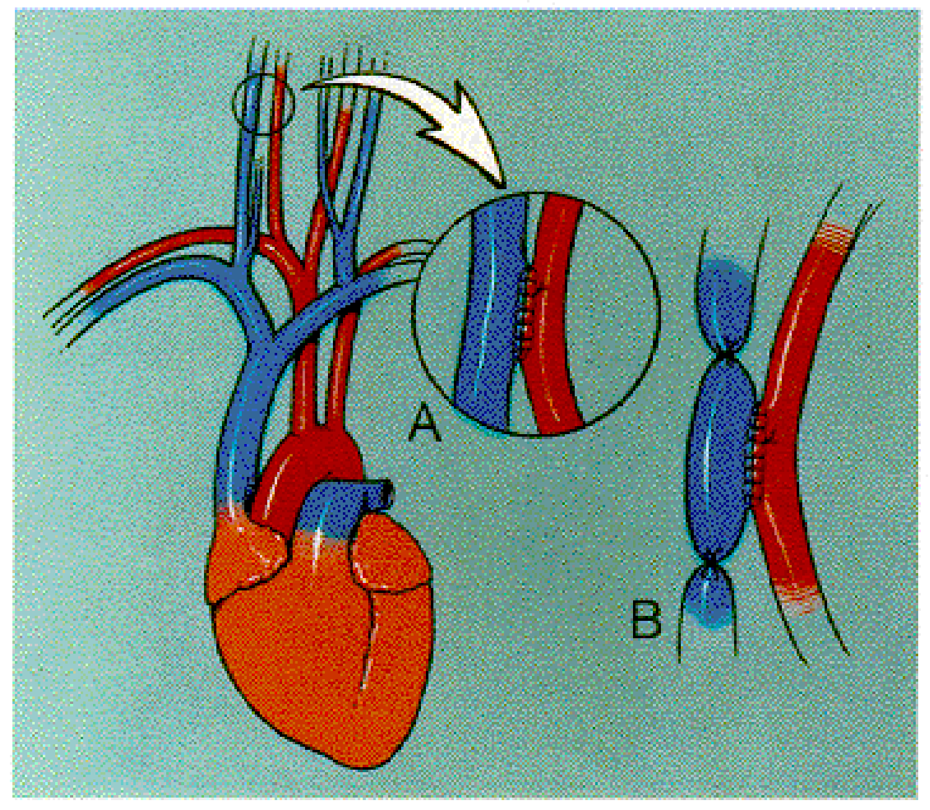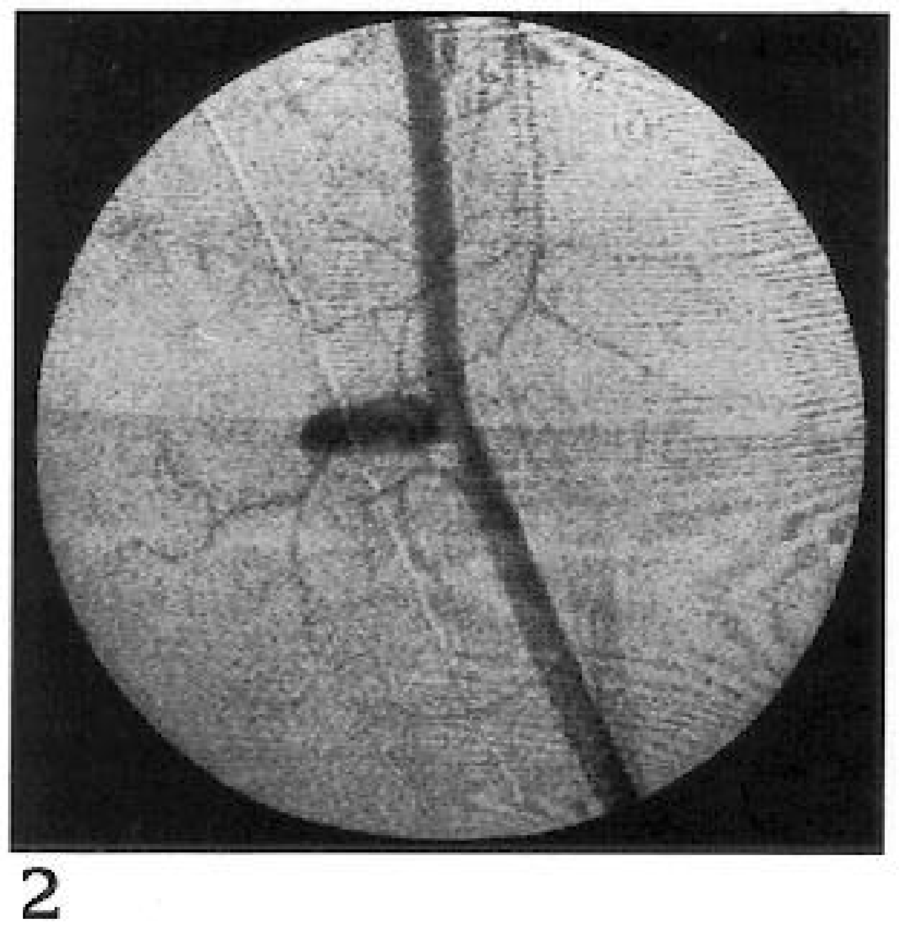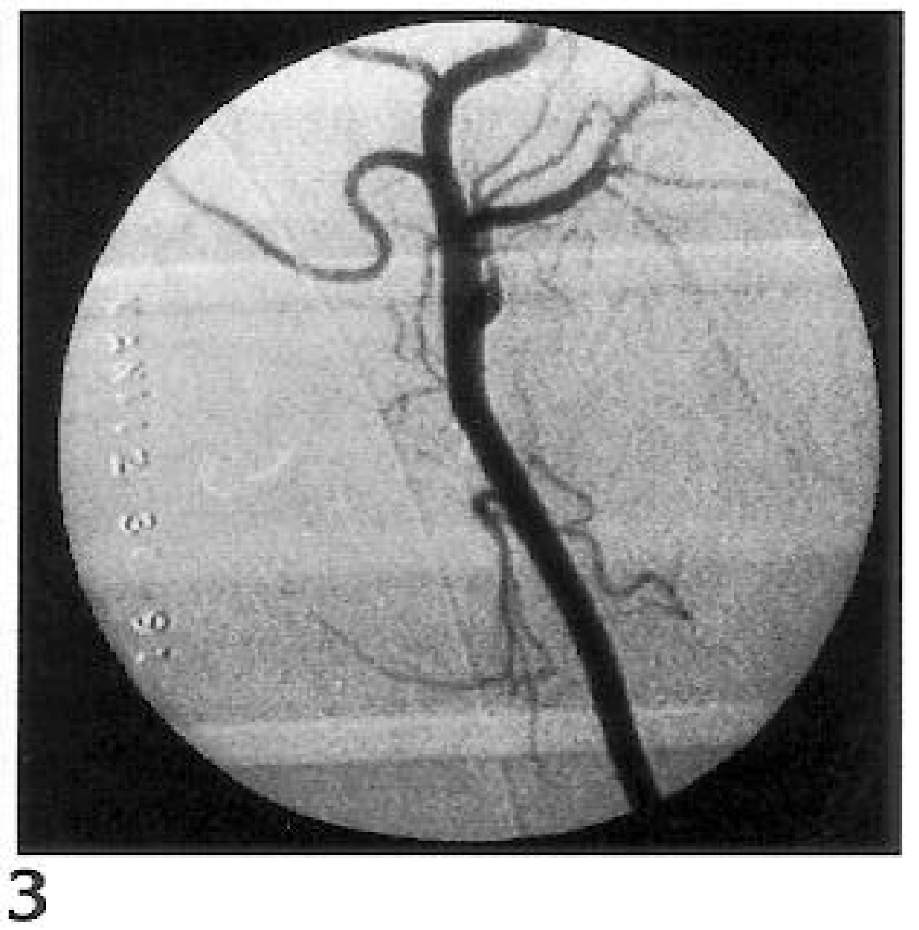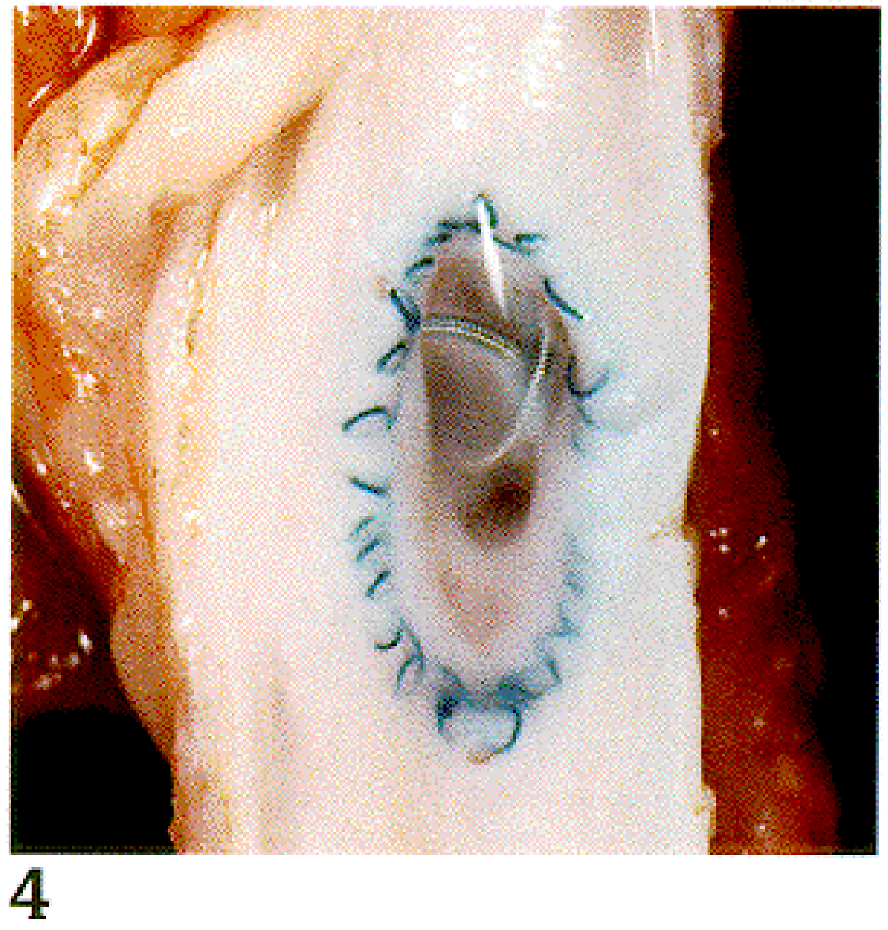

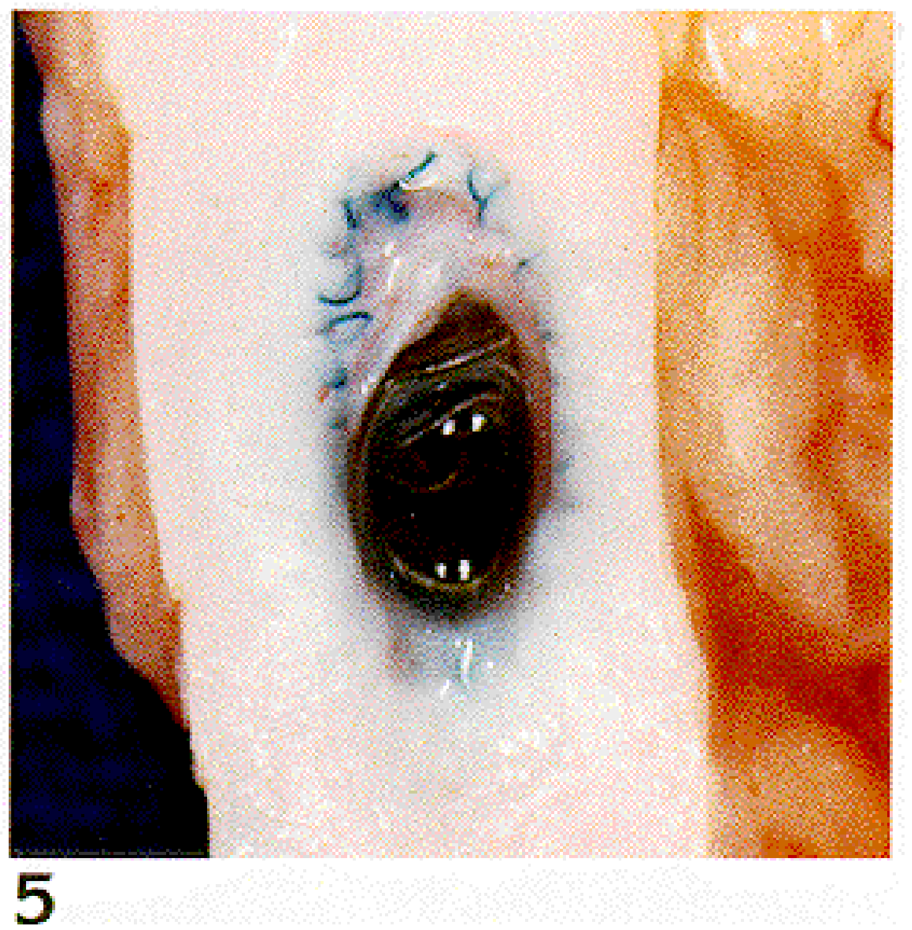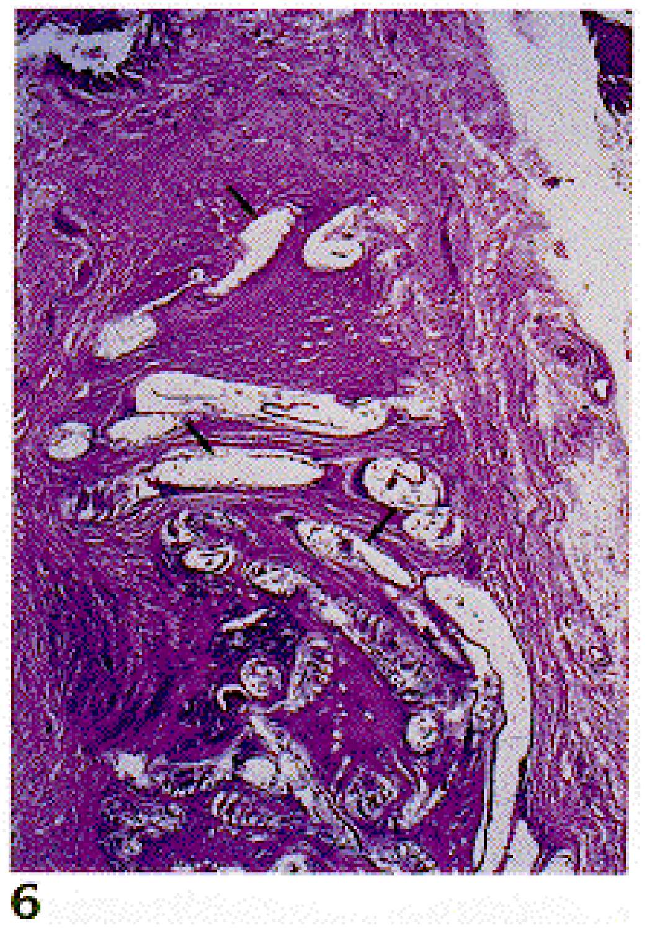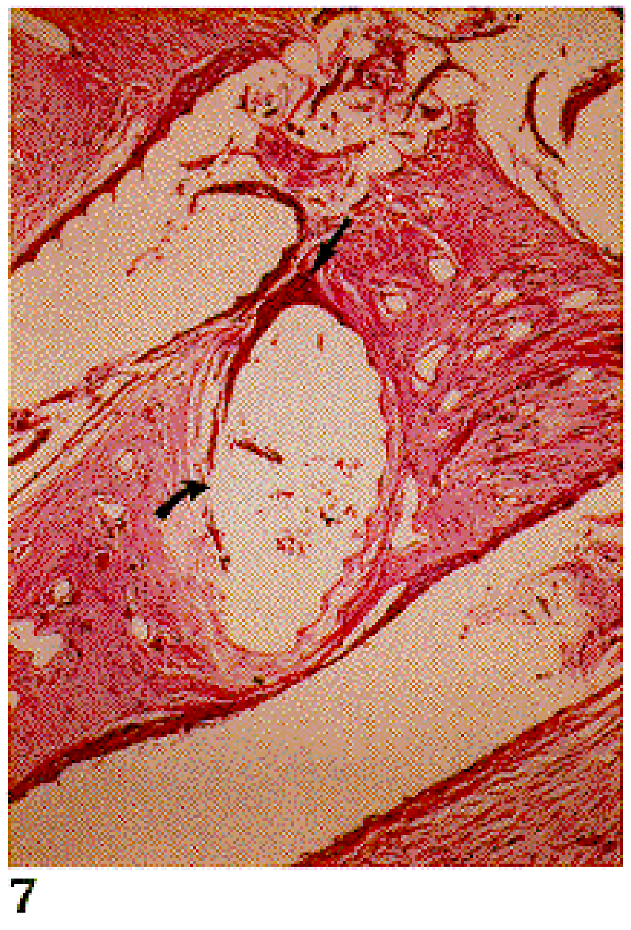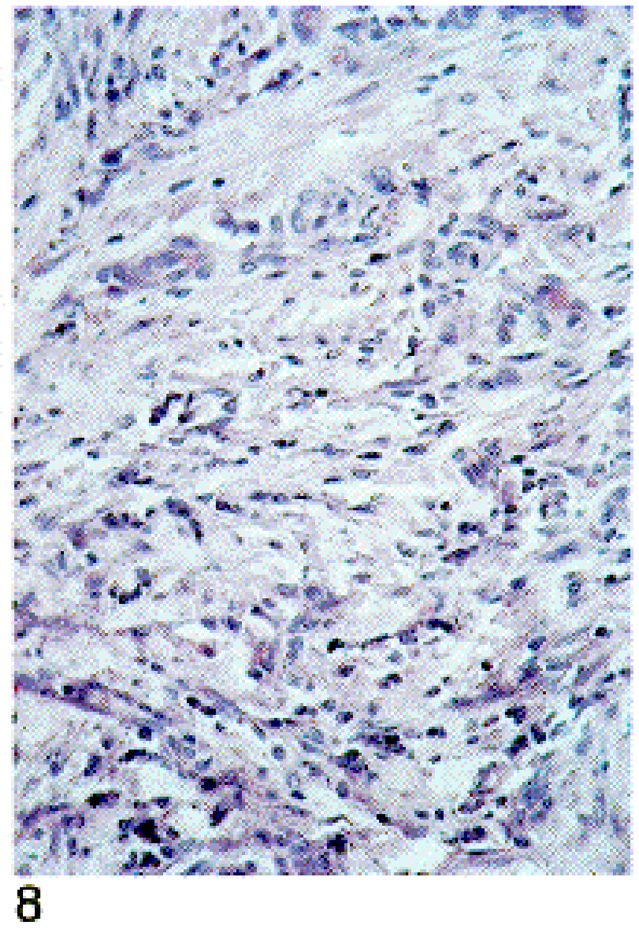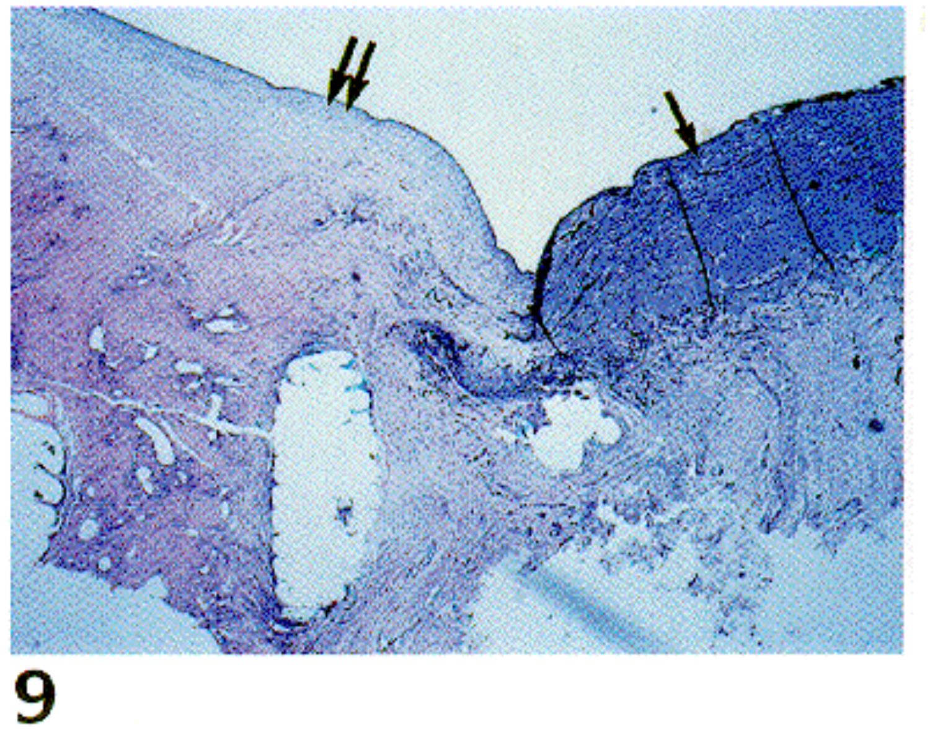

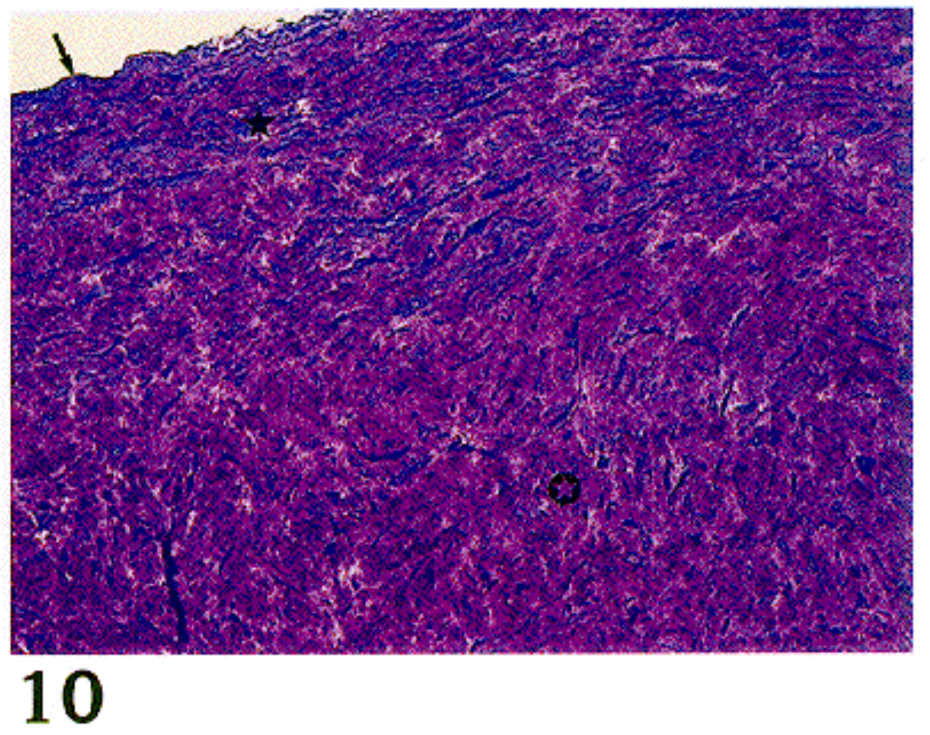

#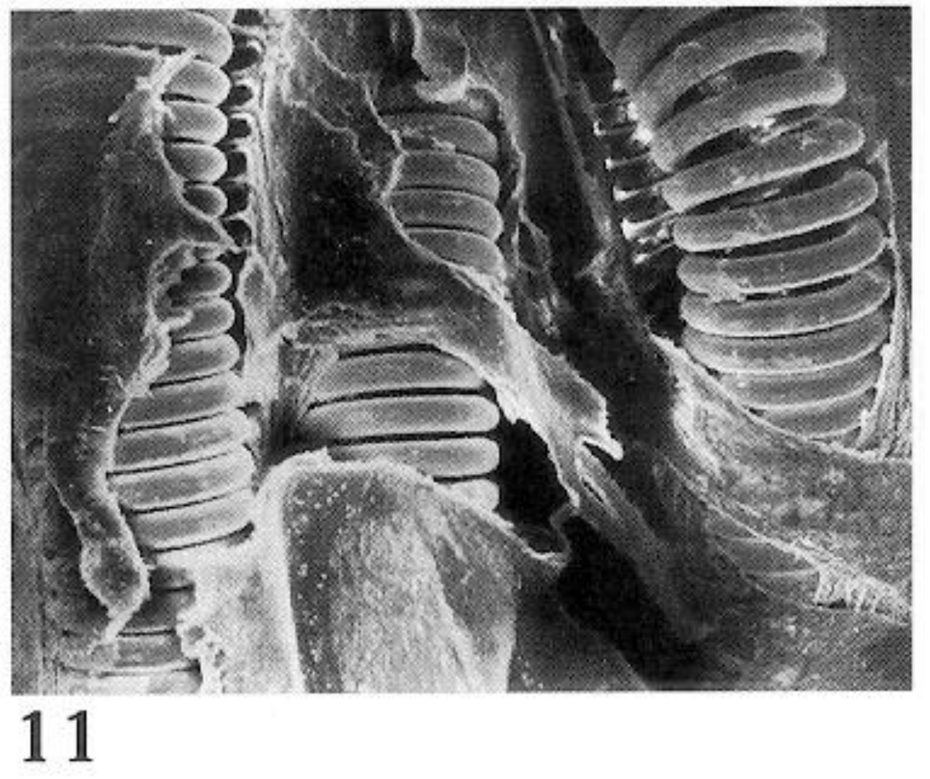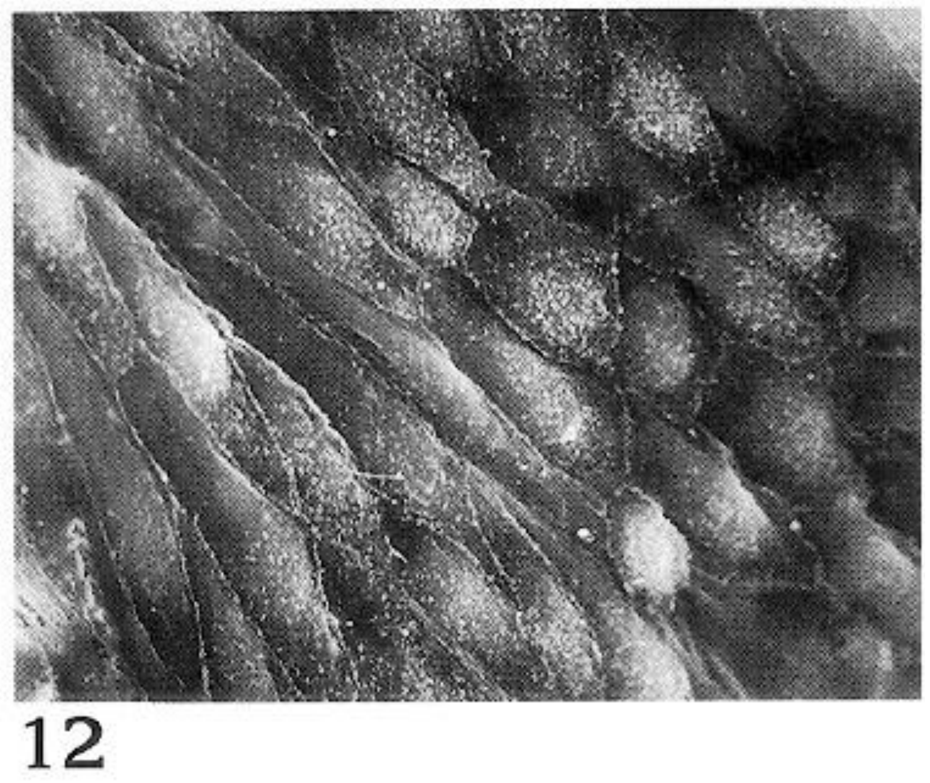

 $\overline{12}$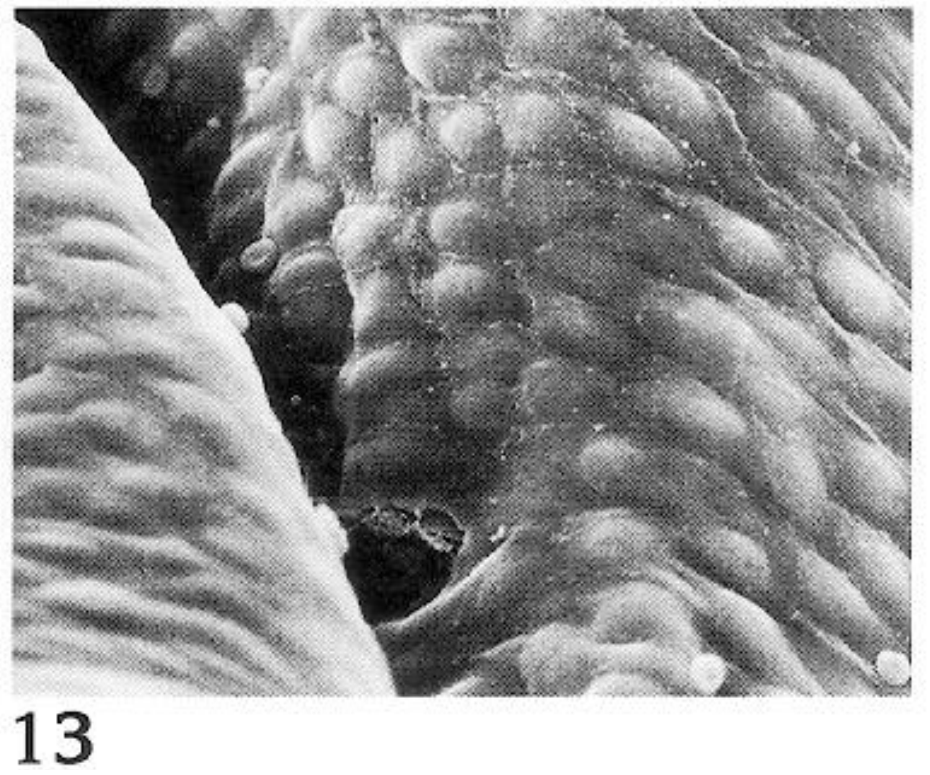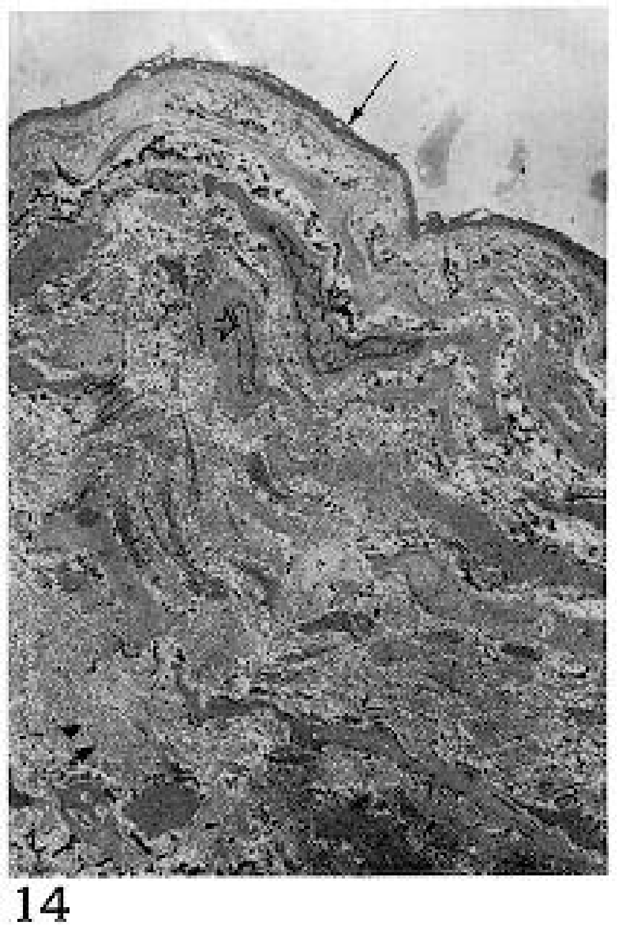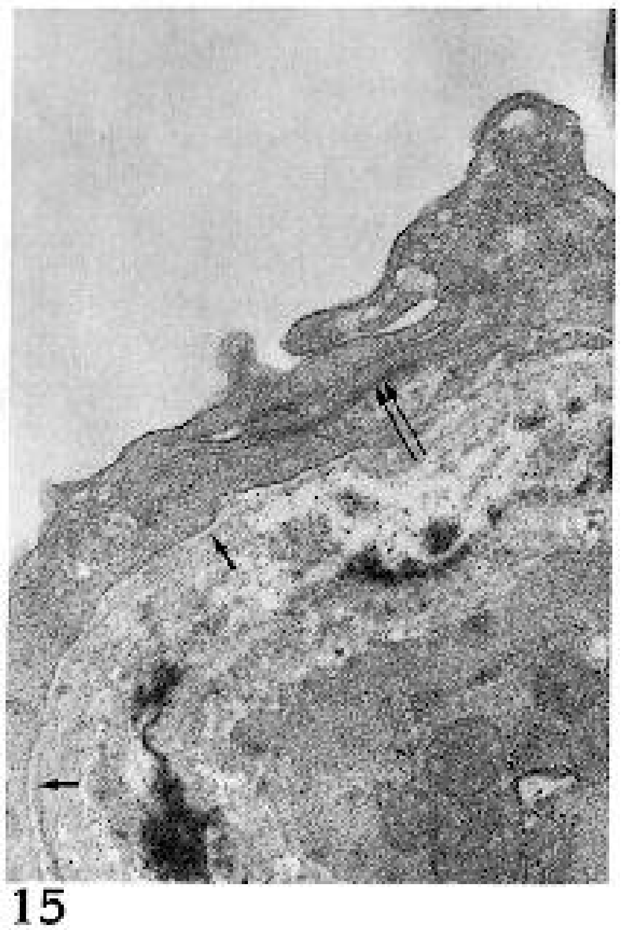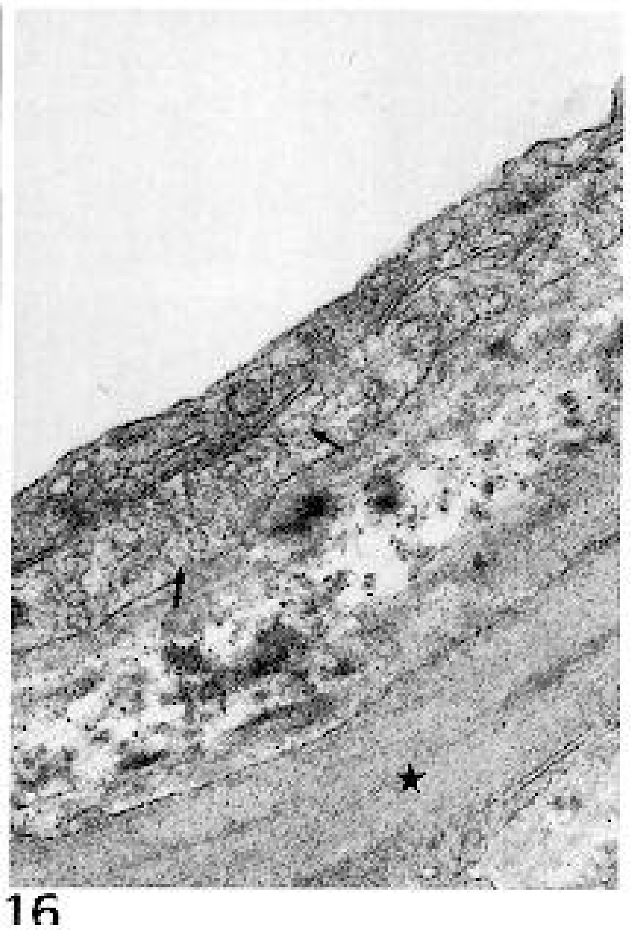